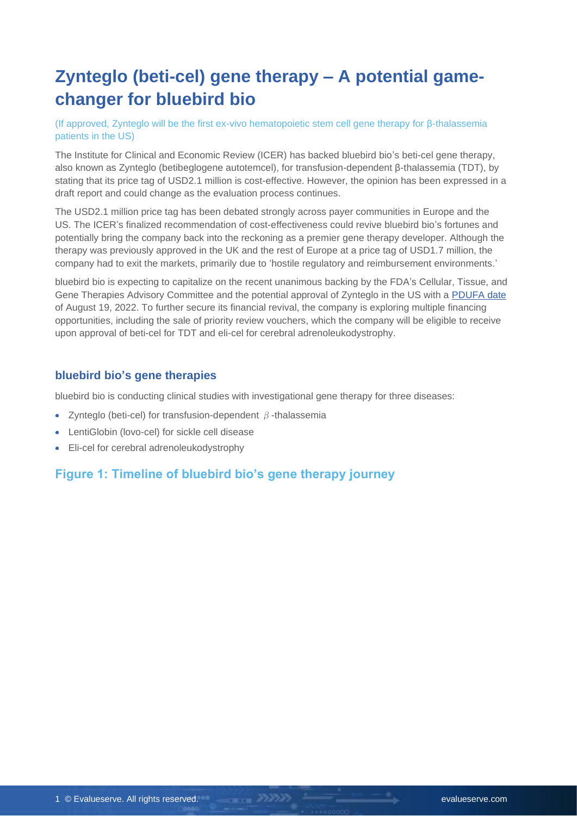## **Zynteglo (beti-cel) gene therapy – A potential gamechanger for bluebird bio**

(If approved, Zynteglo will be the first ex-vivo hematopoietic stem cell gene therapy for β-thalassemia patients in the US)

The Institute for Clinical and Economic Review (ICER) has backed bluebird bio's beti-cel gene therapy, also known as Zynteglo (betibeglogene autotemcel), for transfusion-dependent β-thalassemia (TDT), by stating that its price tag of USD2.1 million is cost-effective. However, the opinion has been expressed in a draft report and could change as the evaluation process continues.

The USD2.1 million price tag has been debated strongly across payer communities in Europe and the US. The ICER's finalized recommendation of cost-effectiveness could revive bluebird bio's fortunes and potentially bring the company back into the reckoning as a premier gene therapy developer. Although the therapy was previously approved in the UK and the rest of Europe at a price tag of USD1.7 million, the company had to exit the markets, primarily due to 'hostile regulatory and reimbursement environments.'

bluebird bio is expecting to capitalize on the recent unanimous backing by the FDA's Cellular, Tissue, and Gene Therapies Advisory Committee and the potential approval of Zynteglo in the US with a [PDUFA date](https://investor.bluebirdbio.com/news-releases/news-release-details/bluebird-provides-update-fda-review-timelines-betibeglogene) of August 19, 2022. To further secure its financial revival, the company is exploring multiple financing opportunities, including the sale of priority review vouchers, which the company will be eligible to receive upon approval of beti-cel for TDT and eli-cel for cerebral adrenoleukodystrophy.

#### **bluebird bio's gene therapies**

bluebird bio is conducting clinical studies with investigational gene therapy for three diseases:

- Zynteglo (beti-cel) for transfusion-dependent  $\beta$ -thalassemia
- LentiGlobin (lovo-cel) for sickle cell disease
- Eli-cel for cerebral adrenoleukodystrophy

#### **Figure 1: Timeline of bluebird bio's gene therapy journey**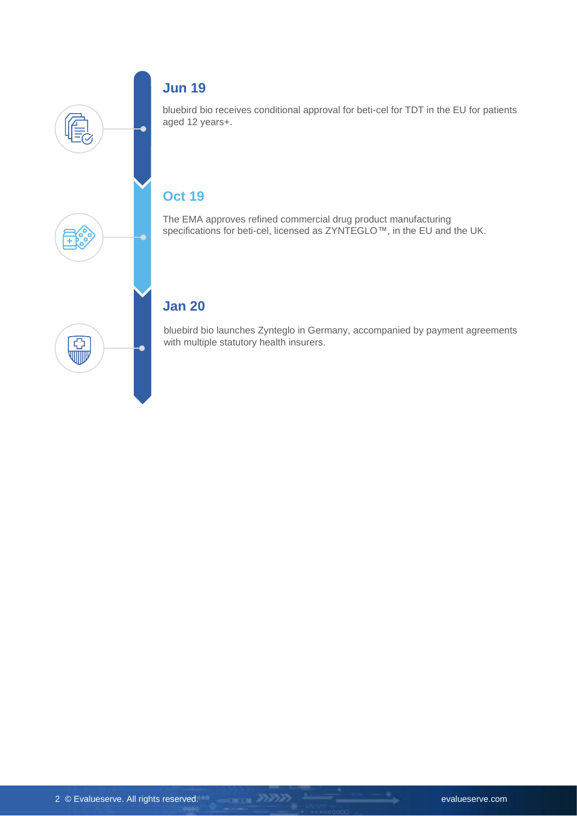

### **Jun 19**

bluebird bio receives conditional approval for beti-cel for TDT in the EU for patients aged 12 years+.

## **Oct 19**

The EMA approves refined commercial drug product manufacturing specifications for beti-cel, licensed as ZYNTEGLO™, in the EU and the UK.

### **Jan 20**

bluebird bio launches Zynteglo in Germany, accompanied by payment agreements with multiple statutory health insurers.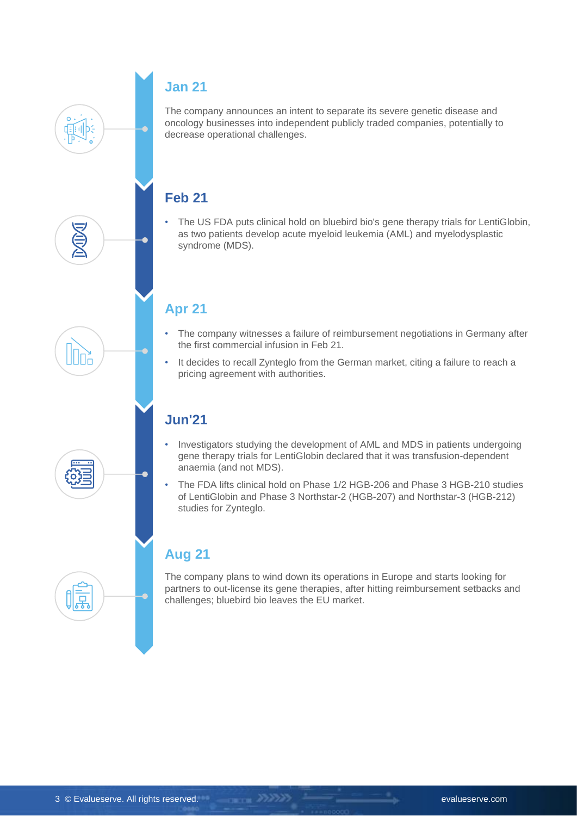#### **Jan 21**

The company announces an intent to separate its severe genetic disease and oncology businesses into independent publicly traded companies, potentially to decrease operational challenges.

## **Feb 21**

• The US FDA puts clinical hold on bluebird bio's gene therapy trials for LentiGlobin, as two patients develop acute myeloid leukemia (AML) and myelodysplastic syndrome (MDS).

#### **Apr 21**

- The company witnesses a failure of reimbursement negotiations in Germany after the first commercial infusion in Feb 21.
- It decides to recall Zynteglo from the German market, citing a failure to reach a pricing agreement with authorities.

## **Jun'21**

-INF

县

- Investigators studying the development of AML and MDS in patients undergoing gene therapy trials for LentiGlobin declared that it was transfusion-dependent anaemia (and not MDS).
- The FDA lifts clinical hold on Phase 1/2 HGB-206 and Phase 3 HGB-210 studies of LentiGlobin and Phase 3 Northstar-2 (HGB-207) and Northstar-3 (HGB-212) studies for Zynteglo.

## **Aug 21**

The company plans to wind down its operations in Europe and starts looking for partners to out-license its gene therapies, after hitting reimbursement setbacks and challenges; bluebird bio leaves the EU market.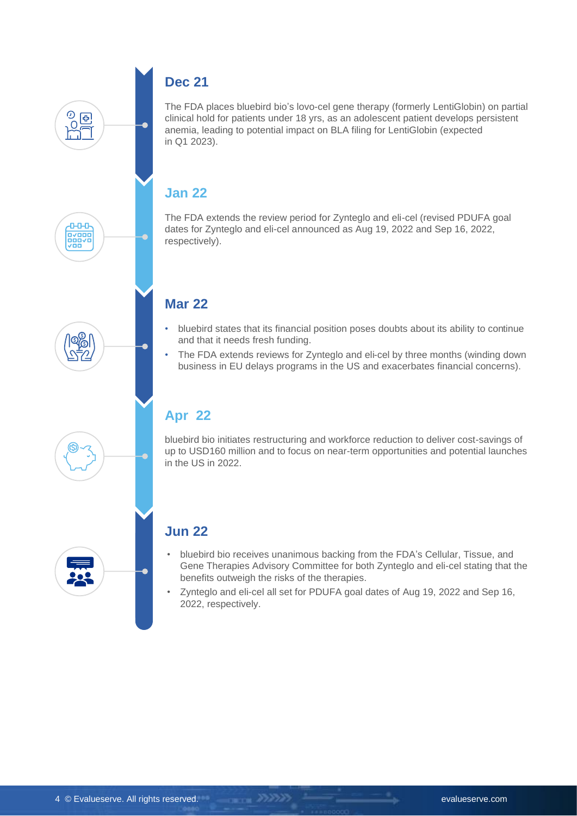# |≎

 $\overline{O}$ 

ᠳ voo<br>Ooovo<br>Ovooo

### **Dec 21**

The FDA places bluebird bio's lovo-cel gene therapy (formerly LentiGlobin) on partial clinical hold for patients under 18 yrs, as an adolescent patient develops persistent anemia, leading to potential impact on BLA filing for LentiGlobin (expected in Q1 2023).

#### **Jan 22**

The FDA extends the review period for Zynteglo and eli-cel (revised PDUFA goal dates for Zynteglo and eli-cel announced as Aug 19, 2022 and Sep 16, 2022, respectively).

## **Mar 22**

- bluebird states that its financial position poses doubts about its ability to continue and that it needs fresh funding.
- The FDA extends reviews for Zynteglo and eli-cel by three months (winding down business in EU delays programs in the US and exacerbates financial concerns).

## **Apr 22**

bluebird bio initiates restructuring and workforce reduction to deliver cost-savings of up to USD160 million and to focus on near-term opportunities and potential launches in the US in 2022.

#### **Jun 22**

- bluebird bio receives unanimous backing from the FDA's Cellular, Tissue, and Gene Therapies Advisory Committee for both Zynteglo and eli-cel stating that the benefits outweigh the risks of the therapies.
- Zynteglo and eli-cel all set for PDUFA goal dates of Aug 19, 2022 and Sep 16, 2022, respectively.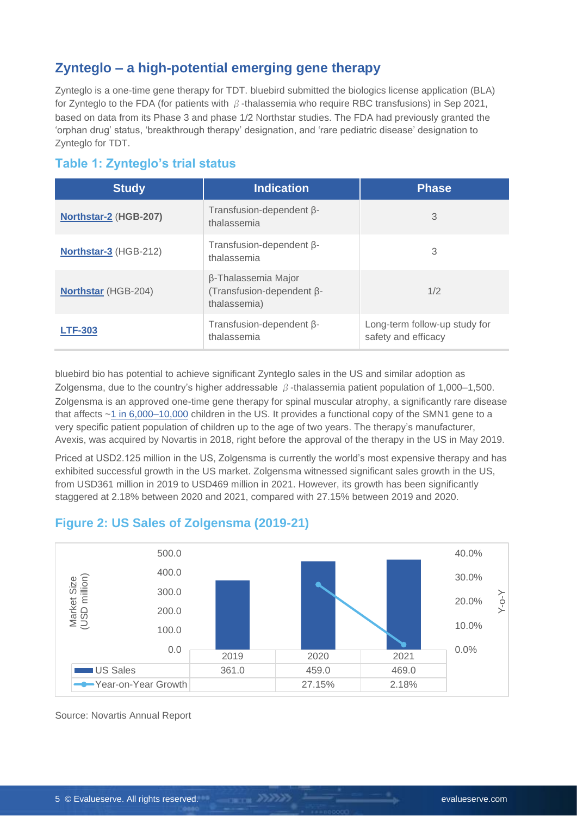#### **Zynteglo – a high-potential emerging gene therapy**

Zynteglo is a one-time gene therapy for TDT. bluebird submitted the biologics license application (BLA) for Zynteglo to the FDA (for patients with β-thalassemia who require RBC transfusions) in Sep 2021, based on data from its Phase 3 and phase 1/2 Northstar studies. The FDA had previously granted the 'orphan drug' status, 'breakthrough therapy' designation, and 'rare pediatric disease' designation to Zynteglo for TDT.

#### **Table 1: Zynteglo's trial status**

| <b>Study</b>               | <b>Indication</b>                                                | <b>Phase</b>                                         |  |
|----------------------------|------------------------------------------------------------------|------------------------------------------------------|--|
| Northstar-2 (HGB-207)      | Transfusion-dependent $\beta$ -<br>thalassemia                   | 3                                                    |  |
| Northstar-3 (HGB-212)      | Transfusion-dependent $\beta$ -<br>thalassemia                   | 3                                                    |  |
| <b>Northstar (HGB-204)</b> | β-Thalassemia Major<br>(Transfusion-dependent β-<br>thalassemia) | 1/2                                                  |  |
| <b>LTF-303</b>             | Transfusion-dependent $\beta$ -<br>thalassemia                   | Long-term follow-up study for<br>safety and efficacy |  |

bluebird bio has potential to achieve significant Zynteglo sales in the US and similar adoption as Zolgensma, due to the country's higher addressable β-thalassemia patient population of 1,000–1,500. Zolgensma is an approved one-time gene therapy for spinal muscular atrophy, a significantly rare disease that affects [~1 in 6,000–10,000](https://my.clevelandclinic.org/health/diseases/14505-spinal-muscular-atrophy-sma#:~:text=Approximately%2010%2C000%20to%2025%2C000%20children,of%206%2C000%20to%2010%2C000%20children.) children in the US. It provides a functional copy of the SMN1 gene to a very specific patient population of children up to the age of two years. The therapy's manufacturer, Avexis, was acquired by Novartis in 2018, right before the approval of the therapy in the US in May 2019.

Priced at USD2.125 million in the US, Zolgensma is currently the world's most expensive therapy and has exhibited successful growth in the US market. Zolgensma witnessed significant sales growth in the US, from USD361 million in 2019 to USD469 million in 2021. However, its growth has been significantly staggered at 2.18% between 2020 and 2021, compared with 27.15% between 2019 and 2020.

#### **Figure 2: US Sales of Zolgensma (2019-21)**



Source: Novartis Annual Report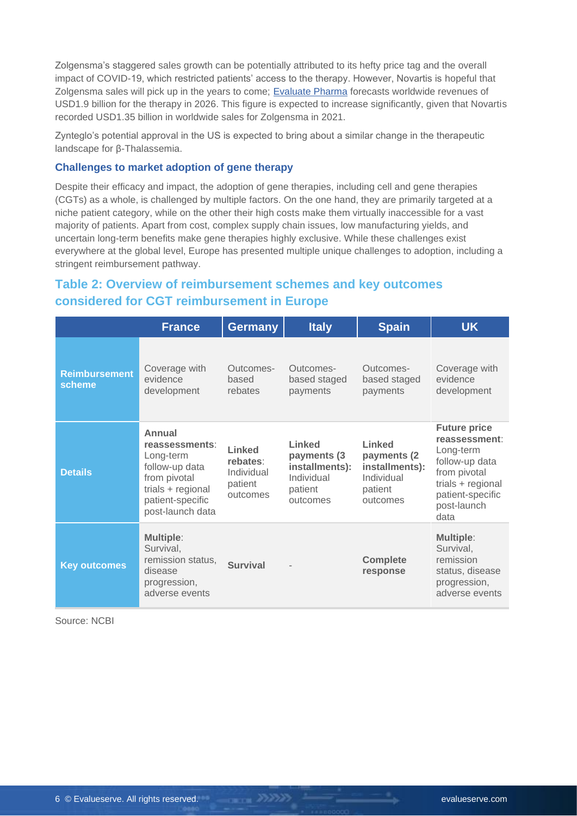Zolgensma's staggered sales growth can be potentially attributed to its hefty price tag and the overall impact of COVID-19, which restricted patients' access to the therapy. However, Novartis is hopeful that Zolgensma sales will pick up in the years to come; [Evaluate Pharma](https://www.evaluate.com/vantage/articles/news/pricing/zolgensma-flatlines-spinraza-isnt-beneficiary) forecasts worldwide revenues of USD1.9 billion for the therapy in 2026. This figure is expected to increase significantly, given that Novartis recorded USD1.35 billion in worldwide sales for Zolgensma in 2021.

Zynteglo's potential approval in the US is expected to bring about a similar change in the therapeutic landscape for β-Thalassemia.

#### **Challenges to market adoption of gene therapy**

Despite their efficacy and impact, the adoption of gene therapies, including cell and gene therapies (CGTs) as a whole, is challenged by multiple factors. On the one hand, they are primarily targeted at a niche patient category, while on the other their high costs make them virtually inaccessible for a vast majority of patients. Apart from cost, complex supply chain issues, low manufacturing yields, and uncertain long-term benefits make gene therapies highly exclusive. While these challenges exist everywhere at the global level, Europe has presented multiple unique challenges to adoption, including a stringent reimbursement pathway.

#### **Table 2: Overview of reimbursement schemes and key outcomes considered for CGT reimbursement in Europe**

|                                | <b>France</b>                                                                                                                        | <b>Germany</b>                                          | <b>Italy</b>                                                                 | <b>Spain</b>                                                                         | <b>UK</b>                                                                                                                                           |
|--------------------------------|--------------------------------------------------------------------------------------------------------------------------------------|---------------------------------------------------------|------------------------------------------------------------------------------|--------------------------------------------------------------------------------------|-----------------------------------------------------------------------------------------------------------------------------------------------------|
| <b>Reimbursement</b><br>scheme | Coverage with<br>evidence<br>development                                                                                             | Outcomes-<br>based<br>rebates                           | Outcomes-<br>based staged<br>payments                                        | Outcomes-<br>based staged<br>payments                                                | Coverage with<br>evidence<br>development                                                                                                            |
| <b>Details</b>                 | Annual<br>reassessments:<br>Long-term<br>follow-up data<br>from pivotal<br>trials + regional<br>patient-specific<br>post-launch data | Linked<br>rebates:<br>Individual<br>patient<br>outcomes | Linked<br>payments (3<br>installments):<br>Individual<br>patient<br>outcomes | <b>Linked</b><br>payments (2)<br>installments):<br>Individual<br>patient<br>outcomes | <b>Future price</b><br>reassessment:<br>Long-term<br>follow-up data<br>from pivotal<br>trials + regional<br>patient-specific<br>post-launch<br>data |
| <b>Key outcomes</b>            | <b>Multiple:</b><br>Survival,<br>remission status,<br>disease<br>progression,<br>adverse events                                      | <b>Survival</b>                                         |                                                                              | <b>Complete</b><br>response                                                          | <b>Multiple:</b><br>Survival,<br>remission<br>status, disease<br>progression,<br>adverse events                                                     |

Source: NCBI